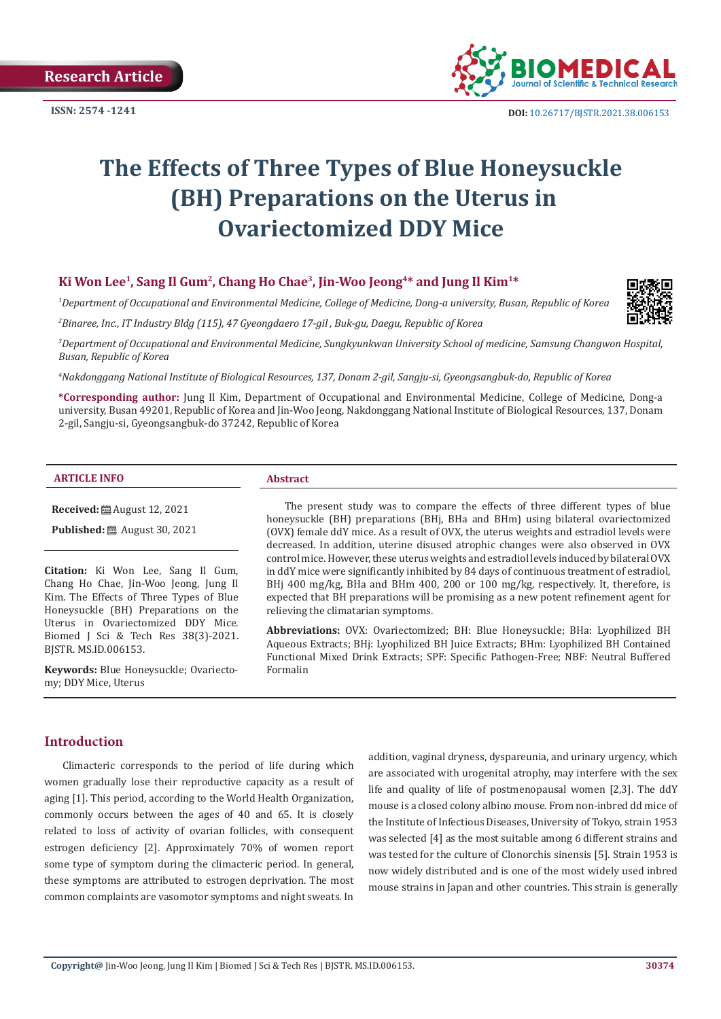**ISSN: 2574 -1241**



# **The Effects of Three Types of Blue Honeysuckle (BH) Preparations on the Uterus in Ovariectomized DDY Mice**

# **Ki Won Lee1, Sang Il Gum2, Chang Ho Chae3, Jin-Woo Jeong4\* and Jung Il Kim1\***

*1 Department of Occupational and Environmental Medicine, College of Medicine, Dong-a university, Busan, Republic of Korea*

*2 Binaree, Inc., IT Industry Bldg (115), 47 Gyeongdaero 17-gil , Buk-gu, Daegu, Republic of Korea*



*4 Nakdonggang National Institute of Biological Resources, 137, Donam 2-gil, Sangju-si, Gyeongsangbuk-do, Republic of Korea*

**\*Corresponding author:** Jung Il Kim, Department of Occupational and Environmental Medicine, College of Medicine, Dong-a university, Busan 49201, Republic of Korea and Jin-Woo Jeong, Nakdonggang National Institute of Biological Resources, 137, Donam 2-gil, Sangju-si, Gyeongsangbuk-do 37242, Republic of Korea

#### **ARTICLE INFO Abstract**

**Received:** ■ August 12, 2021

**Published:** ■ August 30, 2021

**Citation:** Ki Won Lee, Sang Il Gum, Chang Ho Chae, Jin-Woo Jeong, Jung Il Kim. The Effects of Three Types of Blue Honeysuckle (BH) Preparations on the Uterus in Ovariectomized DDY Mice. Biomed J Sci & Tech Res 38(3)-2021. BJSTR. MS.ID.006153.

**Keywords:** Blue Honeysuckle; Ovariectomy; DDY Mice, Uterus

The present study was to compare the effects of three different types of blue honeysuckle (BH) preparations (BHj, BHa and BHm) using bilateral ovariectomized (OVX) female ddY mice. As a result of OVX, the uterus weights and estradiol levels were decreased. In addition, uterine disused atrophic changes were also observed in OVX control mice. However, these uterus weights and estradiol levels induced by bilateral OVX in ddY mice were significantly inhibited by 84 days of continuous treatment of estradiol, BHj 400 mg/kg, BHa and BHm 400, 200 or 100 mg/kg, respectively. It, therefore, is expected that BH preparations will be promising as a new potent refinement agent for relieving the climatarian symptoms.

**Abbreviations:** OVX: Ovariectomized; BH: Blue Honeysuckle; BHa: Lyophilized BH Aqueous Extracts; BHj: Lyophilized BH Juice Extracts; BHm: Lyophilized BH Contained Functional Mixed Drink Extracts; SPF: Specific Pathogen-Free; NBF: Neutral Buffered Formalin

# **Introduction**

Climacteric corresponds to the period of life during which women gradually lose their reproductive capacity as a result of aging [1]. This period, according to the World Health Organization, commonly occurs between the ages of 40 and 65. It is closely related to loss of activity of ovarian follicles, with consequent estrogen deficiency [2]. Approximately 70% of women report some type of symptom during the climacteric period. In general, these symptoms are attributed to estrogen deprivation. The most common complaints are vasomotor symptoms and night sweats. In

addition, vaginal dryness, dyspareunia, and urinary urgency, which are associated with urogenital atrophy, may interfere with the sex life and quality of life of postmenopausal women [2,3]. The ddY mouse is a closed colony albino mouse. From non-inbred dd mice of the Institute of Infectious Diseases, University of Tokyo, strain 1953 was selected [4] as the most suitable among 6 different strains and was tested for the culture of Clonorchis sinensis [5]. Strain 1953 is now widely distributed and is one of the most widely used inbred mouse strains in Japan and other countries. This strain is generally

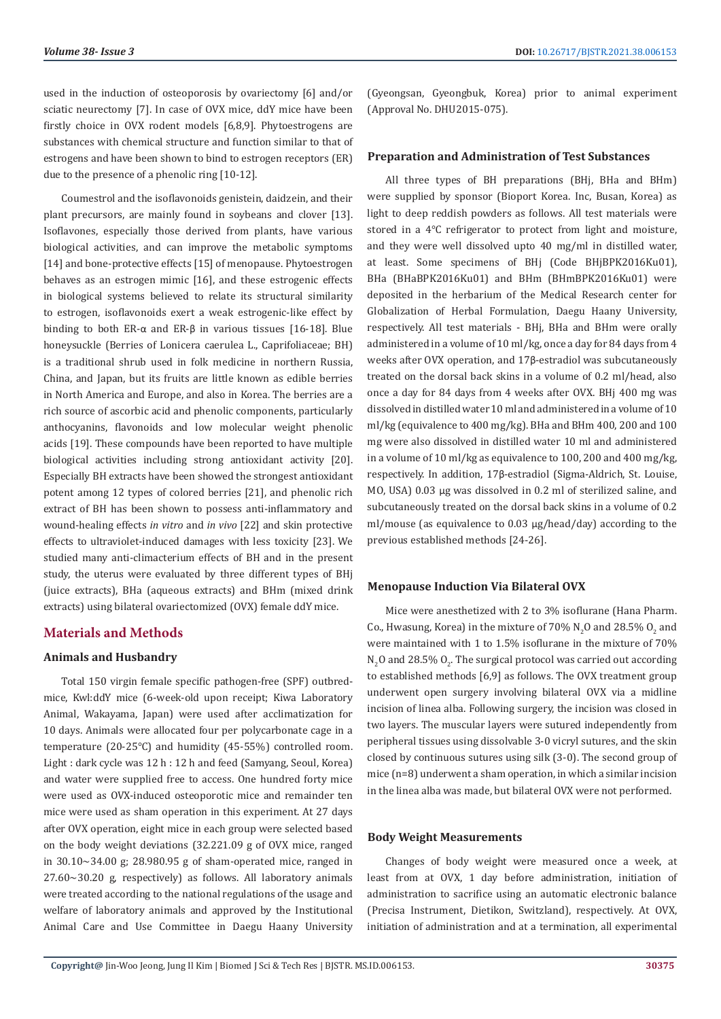used in the induction of osteoporosis by ovariectomy [6] and/or sciatic neurectomy [7]. In case of OVX mice, ddY mice have been firstly choice in OVX rodent models [6,8,9]. Phytoestrogens are substances with chemical structure and function similar to that of estrogens and have been shown to bind to estrogen receptors (ER) due to the presence of a phenolic ring [10-12].

Coumestrol and the isoflavonoids genistein, daidzein, and their plant precursors, are mainly found in soybeans and clover [13]. Isoflavones, especially those derived from plants, have various biological activities, and can improve the metabolic symptoms [14] and bone-protective effects [15] of menopause. Phytoestrogen behaves as an estrogen mimic [16], and these estrogenic effects in biological systems believed to relate its structural similarity to estrogen, isoflavonoids exert a weak estrogenic-like effect by binding to both ER-α and ER-β in various tissues [16-18]. Blue honeysuckle (Berries of Lonicera caerulea L., Caprifoliaceae; BH) is a traditional shrub used in folk medicine in northern Russia, China, and Japan, but its fruits are little known as edible berries in North America and Europe, and also in Korea. The berries are a rich source of ascorbic acid and phenolic components, particularly anthocyanins, flavonoids and low molecular weight phenolic acids [19]. These compounds have been reported to have multiple biological activities including strong antioxidant activity [20]. Especially BH extracts have been showed the strongest antioxidant potent among 12 types of colored berries [21], and phenolic rich extract of BH has been shown to possess anti-inflammatory and wound-healing effects *in vitro* and *in vivo* [22] and skin protective effects to ultraviolet-induced damages with less toxicity [23]. We studied many anti-climacterium effects of BH and in the present study, the uterus were evaluated by three different types of BHj (juice extracts), BHa (aqueous extracts) and BHm (mixed drink extracts) using bilateral ovariectomized (OVX) female ddY mice.

# **Materials and Methods**

#### **Animals and Husbandry**

Total 150 virgin female specific pathogen-free (SPF) outbredmice, Kwl:ddY mice (6-week-old upon receipt; Kiwa Laboratory Animal, Wakayama, Japan) were used after acclimatization for 10 days. Animals were allocated four per polycarbonate cage in a temperature (20-25℃) and humidity (45-55%) controlled room. Light : dark cycle was 12 h : 12 h and feed (Samyang, Seoul, Korea) and water were supplied free to access. One hundred forty mice were used as OVX-induced osteoporotic mice and remainder ten mice were used as sham operation in this experiment. At 27 days after OVX operation, eight mice in each group were selected based on the body weight deviations (32.221.09 g of OVX mice, ranged in 30.10~34.00 g; 28.980.95 g of sham-operated mice, ranged in 27.60~30.20 g, respectively) as follows. All laboratory animals were treated according to the national regulations of the usage and welfare of laboratory animals and approved by the Institutional Animal Care and Use Committee in Daegu Haany University

(Gyeongsan, Gyeongbuk, Korea) prior to animal experiment (Approval No. DHU2015-075).

#### **Preparation and Administration of Test Substances**

All three types of BH preparations (BHj, BHa and BHm) were supplied by sponsor (Bioport Korea. Inc, Busan, Korea) as light to deep reddish powders as follows. All test materials were stored in a 4℃ refrigerator to protect from light and moisture, and they were well dissolved upto 40 mg/ml in distilled water, at least. Some specimens of BHj (Code BHjBPK2016Ku01), BHa (BHaBPK2016Ku01) and BHm (BHmBPK2016Ku01) were deposited in the herbarium of the Medical Research center for Globalization of Herbal Formulation, Daegu Haany University, respectively. All test materials - BHj, BHa and BHm were orally administered in a volume of 10 ml/kg, once a day for 84 days from 4 weeks after OVX operation, and 17β-estradiol was subcutaneously treated on the dorsal back skins in a volume of 0.2 ml/head, also once a day for 84 days from 4 weeks after OVX. BHj 400 mg was dissolved in distilled water 10 ml and administered in a volume of 10 ml/kg (equivalence to 400 mg/kg). BHa and BHm 400, 200 and 100 mg were also dissolved in distilled water 10 ml and administered in a volume of 10 ml/kg as equivalence to 100, 200 and 400 mg/kg, respectively. In addition, 17β-estradiol (Sigma-Aldrich, St. Louise, MO, USA) 0.03 μg was dissolved in 0.2 ml of sterilized saline, and subcutaneously treated on the dorsal back skins in a volume of 0.2 ml/mouse (as equivalence to 0.03 μg/head/day) according to the previous established methods [24-26].

#### **Menopause Induction Via Bilateral OVX**

Mice were anesthetized with 2 to 3% isoflurane (Hana Pharm. Co., Hwasung, Korea) in the mixture of  $70\%$  N<sub>2</sub>O and 28.5% O<sub>2</sub> and were maintained with 1 to 1.5% isoflurane in the mixture of 70%  $N_2$ O and 28.5%  $O_2$ . The surgical protocol was carried out according to established methods [6,9] as follows. The OVX treatment group underwent open surgery involving bilateral OVX via a midline incision of linea alba. Following surgery, the incision was closed in two layers. The muscular layers were sutured independently from peripheral tissues using dissolvable 3-0 vicryl sutures, and the skin closed by continuous sutures using silk (3-0). The second group of mice (n=8) underwent a sham operation, in which a similar incision in the linea alba was made, but bilateral OVX were not performed.

#### **Body Weight Measurements**

Changes of body weight were measured once a week, at least from at OVX, 1 day before administration, initiation of administration to sacrifice using an automatic electronic balance (Precisa Instrument, Dietikon, Switzland), respectively. At OVX, initiation of administration and at a termination, all experimental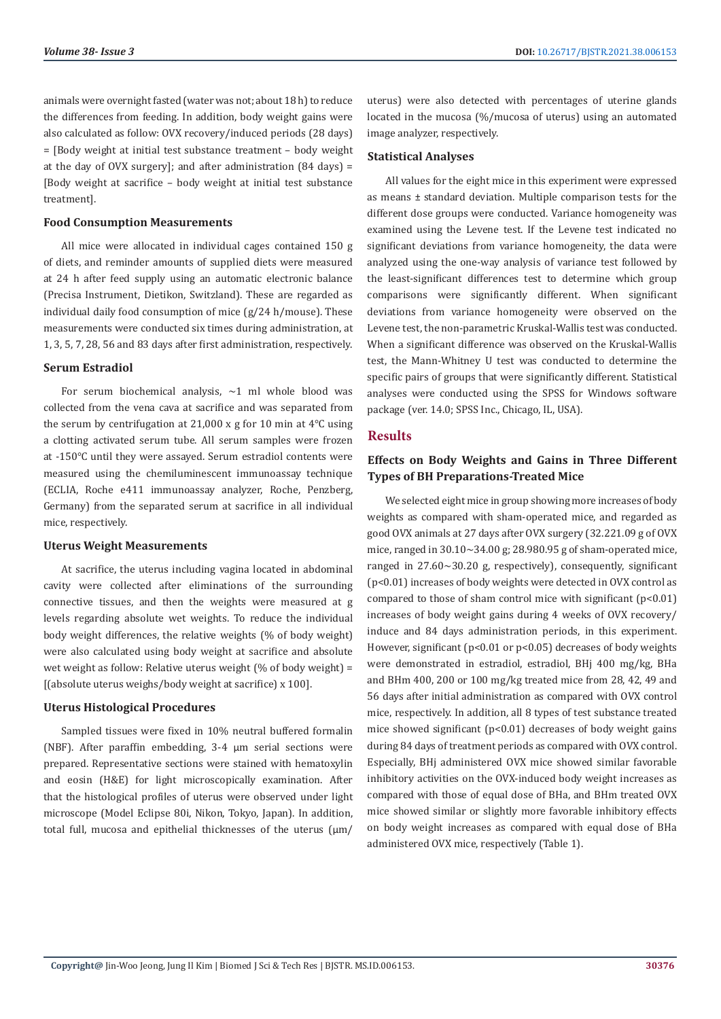animals were overnight fasted (water was not; about 18 h) to reduce the differences from feeding. In addition, body weight gains were also calculated as follow: OVX recovery/induced periods (28 days) = [Body weight at initial test substance treatment – body weight at the day of OVX surgery]; and after administration (84 days) = [Body weight at sacrifice – body weight at initial test substance treatment].

#### **Food Consumption Measurements**

All mice were allocated in individual cages contained 150 g of diets, and reminder amounts of supplied diets were measured at 24 h after feed supply using an automatic electronic balance (Precisa Instrument, Dietikon, Switzland). These are regarded as individual daily food consumption of mice (g/24 h/mouse). These measurements were conducted six times during administration, at 1, 3, 5, 7, 28, 56 and 83 days after first administration, respectively.

#### **Serum Estradiol**

For serum biochemical analysis,  $\sim$ 1 ml whole blood was collected from the vena cava at sacrifice and was separated from the serum by centrifugation at 21,000 x g for 10 min at 4℃ using a clotting activated serum tube. All serum samples were frozen at ‑150℃ until they were assayed. Serum estradiol contents were measured using the chemiluminescent immunoassay technique (ECLIA, Roche e411 immunoassay analyzer, Roche, Penzberg, Germany) from the separated serum at sacrifice in all individual mice, respectively.

#### **Uterus Weight Measurements**

At sacrifice, the uterus including vagina located in abdominal cavity were collected after eliminations of the surrounding connective tissues, and then the weights were measured at g levels regarding absolute wet weights. To reduce the individual body weight differences, the relative weights (% of body weight) were also calculated using body weight at sacrifice and absolute wet weight as follow: Relative uterus weight (% of body weight) = [(absolute uterus weighs/body weight at sacrifice) x 100].

#### **Uterus Histological Procedures**

Sampled tissues were fixed in 10% neutral buffered formalin (NBF). After paraffin embedding, 3-4 μm serial sections were prepared. Representative sections were stained with hematoxylin and eosin (H&E) for light microscopically examination. After that the histological profiles of uterus were observed under light microscope (Model Eclipse 80i, Nikon, Tokyo, Japan). In addition, total full, mucosa and epithelial thicknesses of the uterus (μm/

uterus) were also detected with percentages of uterine glands located in the mucosa (%/mucosa of uterus) using an automated image analyzer, respectively.

#### **Statistical Analyses**

All values for the eight mice in this experiment were expressed as means ± standard deviation. Multiple comparison tests for the different dose groups were conducted. Variance homogeneity was examined using the Levene test. If the Levene test indicated no significant deviations from variance homogeneity, the data were analyzed using the one-way analysis of variance test followed by the least-significant differences test to determine which group comparisons were significantly different. When significant deviations from variance homogeneity were observed on the Levene test, the non-parametric Kruskal-Wallis test was conducted. When a significant difference was observed on the Kruskal-Wallis test, the Mann-Whitney U test was conducted to determine the specific pairs of groups that were significantly different. Statistical analyses were conducted using the SPSS for Windows software package (ver. 14.0; SPSS Inc., Chicago, IL, USA).

### **Results**

# **Effects on Body Weights and Gains in Three Different Types of BH Preparations-Treated Mice**

We selected eight mice in group showing more increases of body weights as compared with sham-operated mice, and regarded as good OVX animals at 27 days after OVX surgery (32.221.09 g of OVX mice, ranged in 30.10~34.00 g; 28.980.95 g of sham-operated mice, ranged in 27.60~30.20 g, respectively), consequently, significant (p<0.01) increases of body weights were detected in OVX control as compared to those of sham control mice with significant (p<0.01) increases of body weight gains during 4 weeks of OVX recovery/ induce and 84 days administration periods, in this experiment. However, significant (p<0.01 or p<0.05) decreases of body weights were demonstrated in estradiol, estradiol, BHj 400 mg/kg, BHa and BHm 400, 200 or 100 mg/kg treated mice from 28, 42, 49 and 56 days after initial administration as compared with OVX control mice, respectively. In addition, all 8 types of test substance treated mice showed significant  $(p<0.01)$  decreases of body weight gains during 84 days of treatment periods as compared with OVX control. Especially, BHj administered OVX mice showed similar favorable inhibitory activities on the OVX-induced body weight increases as compared with those of equal dose of BHa, and BHm treated OVX mice showed similar or slightly more favorable inhibitory effects on body weight increases as compared with equal dose of BHa administered OVX mice, respectively (Table 1).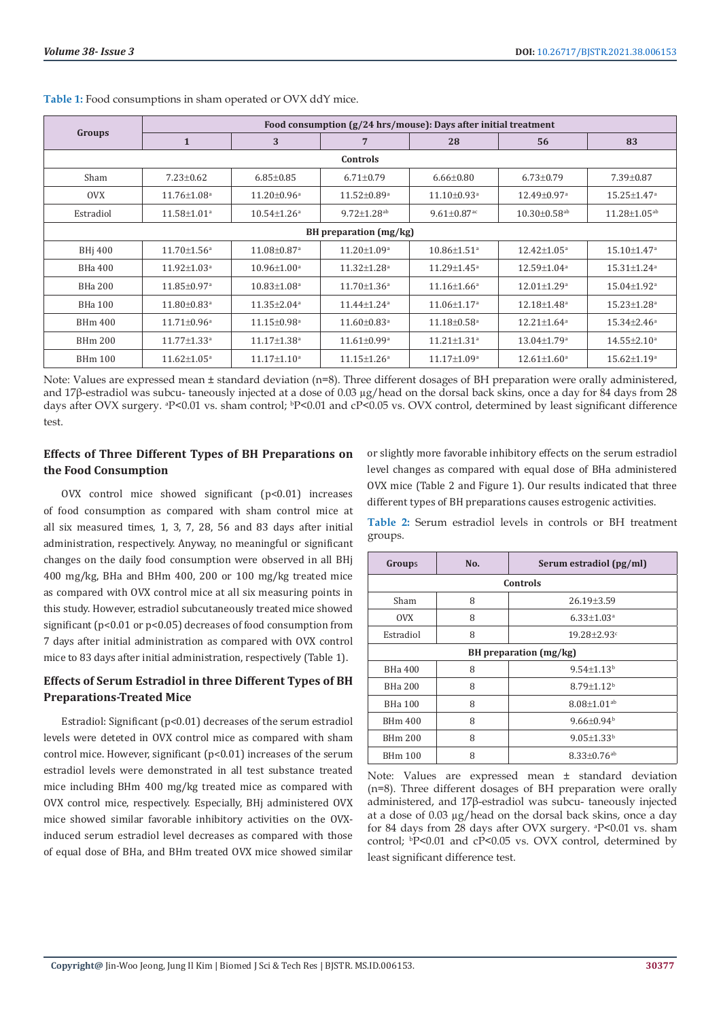| Groups                 | Food consumption (g/24 hrs/mouse): Days after initial treatment |                               |                               |                               |                                |                               |  |
|------------------------|-----------------------------------------------------------------|-------------------------------|-------------------------------|-------------------------------|--------------------------------|-------------------------------|--|
|                        | $\mathbf{1}$                                                    | 3                             | 7                             | 28                            | 56                             | 83                            |  |
| Controls               |                                                                 |                               |                               |                               |                                |                               |  |
| Sham                   | $7.23 \pm 0.62$                                                 | $6.85 \pm 0.85$               | $6.71 \pm 0.79$               | $6.66 \pm 0.80$               | $6.73 \pm 0.79$                | $7.39 \pm 0.87$               |  |
| <b>OVX</b>             | $11.76 \pm 1.08$ <sup>a</sup>                                   | $11.20 \pm 0.96^{\text{a}}$   | $11.52 \pm 0.89^{\mathrm{a}}$ | $11.10 \pm 0.93$ <sup>a</sup> | $12.49 \pm 0.97$ <sup>a</sup>  | $15.25 \pm 1.47$ <sup>a</sup> |  |
| Estradiol              | $11.58 \pm 1.01^a$                                              | $10.54 \pm 1.26^a$            | $9.72 \pm 1.28$ <sup>ab</sup> | $9.61 \pm 0.87$ <sup>ac</sup> | $10.30 \pm 0.58$ <sup>ab</sup> | $11.28 \pm 1.05^{ab}$         |  |
| BH preparation (mg/kg) |                                                                 |                               |                               |                               |                                |                               |  |
| BH <sub>i</sub> 400    | $11.70 \pm 1.56^a$                                              | $11.08 \pm 0.87$ <sup>a</sup> | $11.20 \pm 1.09^a$            | $10.86 \pm 1.51$ <sup>a</sup> | $12.42 \pm 1.05^a$             | 15.10±1.47 <sup>a</sup>       |  |
| BHa 400                | $11.92 \pm 1.03$ <sup>a</sup>                                   | $10.96 \pm 1.00^{\circ}$      | $11.32 \pm 1.28$ <sup>a</sup> | $11.29 \pm 1.45$ <sup>a</sup> | $12.59 \pm 1.04^a$             | $15.31 \pm 1.24$ <sup>a</sup> |  |
| <b>BHa 200</b>         | $11.85 \pm 0.97$ <sup>a</sup>                                   | $10.83 \pm 1.08$ <sup>a</sup> | $11.70 \pm 1.36^{\circ}$      | $11.16 \pm 1.66^{\circ}$      | $12.01 \pm 1.29$ <sup>a</sup>  | $15.04 \pm 1.92$ <sup>a</sup> |  |
| <b>BHa 100</b>         | $11.80 \pm 0.83$ <sup>a</sup>                                   | $11.35 \pm 2.04^{\circ}$      | $11.44 \pm 1.24$ <sup>a</sup> | $11.06 \pm 1.17$ <sup>a</sup> | $12.18 \pm 1.48$ <sup>a</sup>  | $15.23 \pm 1.28$ <sup>a</sup> |  |
| <b>BHm 400</b>         | $11.71 \pm 0.96^{\text{a}}$                                     | $11.15 \pm 0.98$ <sup>a</sup> | $11.60 \pm 0.83$ <sup>a</sup> | $11.18 \pm 0.58$ <sup>a</sup> | $12.21 \pm 1.64$ <sup>a</sup>  | $15.34 \pm 2.46^a$            |  |
| <b>BHm 200</b>         | $11.77 \pm 1.33$ <sup>a</sup>                                   | $11.17 \pm 1.38$ <sup>a</sup> | $11.61 \pm 0.99^{\text{a}}$   | $11.21 \pm 1.31$ <sup>a</sup> | $13.04 \pm 1.79$ <sup>a</sup>  | $14.55 \pm 2.10^a$            |  |
| <b>BHm 100</b>         | $11.62 \pm 1.05^{\text{a}}$                                     | $11.17 \pm 1.10^a$            | $11.15 \pm 1.26^a$            | $11.17 \pm 1.09^{\text{a}}$   | $12.61 \pm 1.60^a$             | $15.62 \pm 1.19^a$            |  |

**Table 1:** Food consumptions in sham operated or OVX ddY mice.

Note: Values are expressed mean ± standard deviation (n=8). Three different dosages of BH preparation were orally administered, and 17β-estradiol was subcu- taneously injected at a dose of 0.03 µg/head on the dorsal back skins, once a day for 84 days from 28 days after OVX surgery. <sup>a</sup>P<0.01 vs. sham control; <sup>b</sup>P<0.01 and cP<0.05 vs. OVX control, determined by least significant difference test.

# **Effects of Three Different Types of BH Preparations on the Food Consumption**

OVX control mice showed significant (p<0.01) increases of food consumption as compared with sham control mice at all six measured times, 1, 3, 7, 28, 56 and 83 days after initial administration, respectively. Anyway, no meaningful or significant changes on the daily food consumption were observed in all BHj 400 mg/kg, BHa and BHm 400, 200 or 100 mg/kg treated mice as compared with OVX control mice at all six measuring points in this study. However, estradiol subcutaneously treated mice showed significant (p<0.01 or p<0.05) decreases of food consumption from 7 days after initial administration as compared with OVX control mice to 83 days after initial administration, respectively (Table 1).

# **Effects of Serum Estradiol in three Different Types of BH Preparations-Treated Mice**

Estradiol: Significant (p<0.01) decreases of the serum estradiol levels were deteted in OVX control mice as compared with sham control mice. However, significant (p<0.01) increases of the serum estradiol levels were demonstrated in all test substance treated mice including BHm 400 mg/kg treated mice as compared with OVX control mice, respectively. Especially, BHj administered OVX mice showed similar favorable inhibitory activities on the OVXinduced serum estradiol level decreases as compared with those of equal dose of BHa, and BHm treated OVX mice showed similar

or slightly more favorable inhibitory effects on the serum estradiol level changes as compared with equal dose of BHa administered OVX mice (Table 2 and Figure 1). Our results indicated that three different types of BH preparations causes estrogenic activities.

**Table 2:** Serum estradiol levels in controls or BH treatment groups.

| Groups                   | No. | Serum estradiol (pg/ml)       |  |  |
|--------------------------|-----|-------------------------------|--|--|
| Controls                 |     |                               |  |  |
| Sham                     | 8   | 26.19±3.59                    |  |  |
| <b>OVX</b>               | 8   | $6.33 \pm 1.03$ <sup>a</sup>  |  |  |
| Estradiol                | 8   | $19.28 + 2.93$ <sup>c</sup>   |  |  |
| BH preparation $(mg/kg)$ |     |                               |  |  |
| BHa 400                  | 8   | $9.54 + 1.13b$                |  |  |
| <b>BHa 200</b>           | 8   | $8.79 + 1.12b$                |  |  |
| BH <sub>a</sub> 100      | 8   | $8.08 \pm 1.01$ <sup>ab</sup> |  |  |
| BHm 400                  | 8   | $9.66 + 0.94b$                |  |  |
| <b>BHm 200</b>           | 8   | $9.05 \pm 1.33$ <sup>b</sup>  |  |  |
| <b>BHm 100</b>           | 8   | $8.33 \pm 0.76$ <sup>ab</sup> |  |  |

Note: Values are expressed mean ± standard deviation (n=8). Three different dosages of BH preparation were orally administered, and 17β-estradiol was subcu- taneously injected at a dose of 0.03 µg/head on the dorsal back skins, once a day for 84 days from 28 days after OVX surgery.  $P<0.01$  vs. sham control; b P<0.01 and cP<0.05 vs. OVX control, determined by least significant difference test.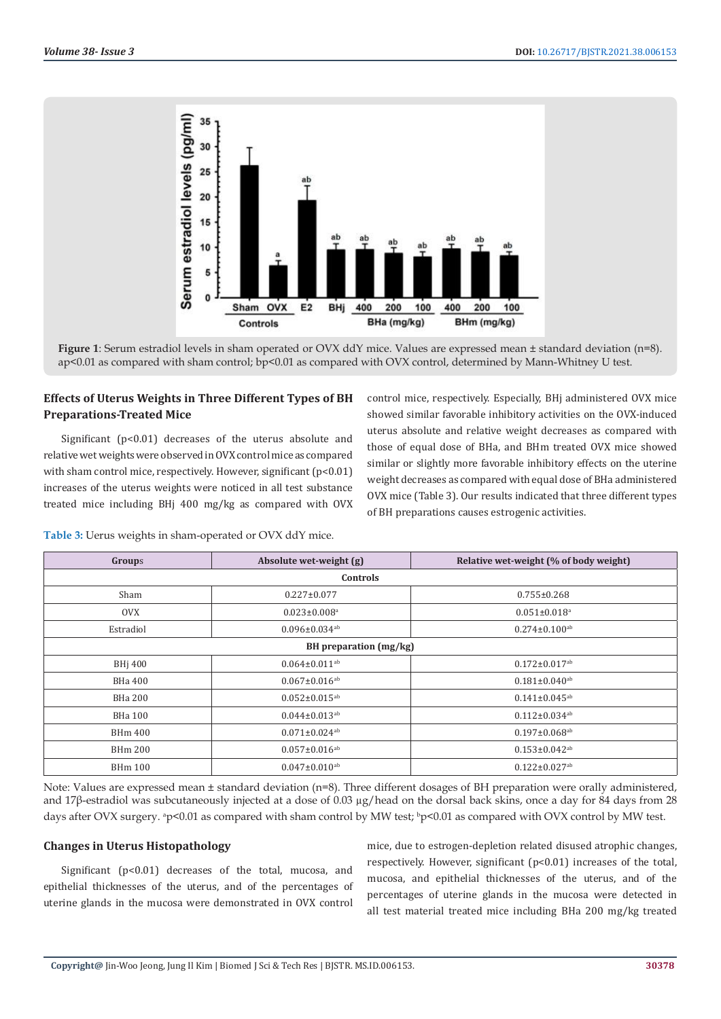

**Figure 1**: Serum estradiol levels in sham operated or OVX ddY mice. Values are expressed mean ± standard deviation (n=8). ap<0.01 as compared with sham control; bp<0.01 as compared with OVX control, determined by Mann-Whitney U test.

# **Effects of Uterus Weights in Three Different Types of BH Preparations-Treated Mice**

Significant (p<0.01) decreases of the uterus absolute and relative wet weights were observed in OVX control mice as compared with sham control mice, respectively. However, significant (p<0.01) increases of the uterus weights were noticed in all test substance treated mice including BHj 400 mg/kg as compared with OVX control mice, respectively. Especially, BHj administered OVX mice showed similar favorable inhibitory activities on the OVX-induced uterus absolute and relative weight decreases as compared with those of equal dose of BHa, and BHm treated OVX mice showed similar or slightly more favorable inhibitory effects on the uterine weight decreases as compared with equal dose of BHa administered OVX mice (Table 3). Our results indicated that three different types of BH preparations causes estrogenic activities.

**Table 3:** Uerus weights in sham-operated or OVX ddY mice.

| Groups                 | Absolute wet-weight (g)         | Relative wet-weight (% of body weight) |  |  |  |
|------------------------|---------------------------------|----------------------------------------|--|--|--|
|                        | Controls                        |                                        |  |  |  |
| Sham                   | $0.227 \pm 0.077$               | $0.755 \pm 0.268$                      |  |  |  |
| <b>OVX</b>             | $0.023 \pm 0.008$ <sup>a</sup>  | $0.051 \pm 0.018$ <sup>a</sup>         |  |  |  |
| Estradiol              | $0.096 \pm 0.034$ <sup>ab</sup> | $0.274 \pm 0.100$ <sup>ab</sup>        |  |  |  |
| BH preparation (mg/kg) |                                 |                                        |  |  |  |
| <b>BHj 400</b>         | $0.064 \pm 0.011$ <sup>ab</sup> | $0.172 \pm 0.017$ <sup>ab</sup>        |  |  |  |
| BHa 400                | $0.067 \pm 0.016$ <sup>ab</sup> | $0.181 \pm 0.040$ <sup>ab</sup>        |  |  |  |
| <b>BHa 200</b>         | $0.052 \pm 0.015^{ab}$          | $0.141 \pm 0.045$ <sup>ab</sup>        |  |  |  |
| <b>BHa 100</b>         | $0.044 \pm 0.013$ <sup>ab</sup> | $0.112 \pm 0.034$ <sup>ab</sup>        |  |  |  |
| <b>BHm 400</b>         | $0.071 \pm 0.024$ <sup>ab</sup> | $0.197 \pm 0.068$ <sup>ab</sup>        |  |  |  |
| <b>BHm 200</b>         | $0.057 \pm 0.016$ <sup>ab</sup> | $0.153 \pm 0.042$ <sup>ab</sup>        |  |  |  |
| <b>BHm 100</b>         | $0.047 \pm 0.010$ <sup>ab</sup> | $0.122 \pm 0.027$ <sup>ab</sup>        |  |  |  |

Note: Values are expressed mean ± standard deviation (n=8). Three different dosages of BH preparation were orally administered, and 17β-estradiol was subcutaneously injected at a dose of 0.03 µg/head on the dorsal back skins, once a day for 84 days from 28 days after OVX surgery. <sup>a</sup>p<0.01 as compared with sham control by MW test; <sup>b</sup>p<0.01 as compared with OVX control by MW test.

### **Changes in Uterus Histopathology**

Significant (p<0.01) decreases of the total, mucosa, and epithelial thicknesses of the uterus, and of the percentages of uterine glands in the mucosa were demonstrated in OVX control

mice, due to estrogen-depletion related disused atrophic changes, respectively. However, significant (p<0.01) increases of the total, mucosa, and epithelial thicknesses of the uterus, and of the percentages of uterine glands in the mucosa were detected in all test material treated mice including BHa 200 mg/kg treated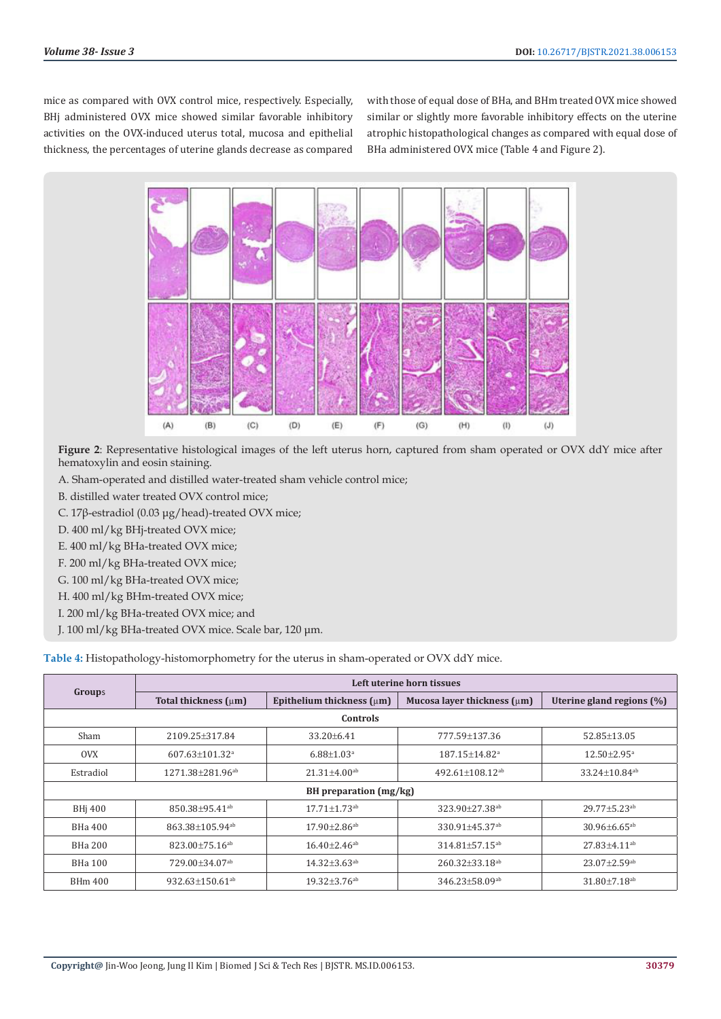mice as compared with OVX control mice, respectively. Especially, BHj administered OVX mice showed similar favorable inhibitory activities on the OVX-induced uterus total, mucosa and epithelial thickness, the percentages of uterine glands decrease as compared with those of equal dose of BHa, and BHm treated OVX mice showed similar or slightly more favorable inhibitory effects on the uterine atrophic histopathological changes as compared with equal dose of BHa administered OVX mice (Table 4 and Figure 2).



**Figure 2**: Representative histological images of the left uterus horn, captured from sham operated or OVX ddY mice after hematoxylin and eosin staining.

- A. Sham-operated and distilled water-treated sham vehicle control mice;
- B. distilled water treated OVX control mice;
- C. 17β-estradiol (0.03 μg/head)-treated OVX mice;
- D. 400 ml/kg BHj-treated OVX mice;
- E. 400 ml/kg BHa-treated OVX mice;
- F. 200 ml/kg BHa-treated OVX mice;
- G. 100 ml/kg BHa-treated OVX mice;
- H. 400 ml/kg BHm-treated OVX mice;
- I. 200 ml/kg BHa-treated OVX mice; and
- J. 100 ml/kg BHa-treated OVX mice. Scale bar, 120 μm.

|                        | Left uterine horn tissues         |                                                               |                                   |                                |  |  |
|------------------------|-----------------------------------|---------------------------------------------------------------|-----------------------------------|--------------------------------|--|--|
| <b>Groups</b>          | Total thickness $(\mu m)$         | Mucosa layer thickness (µm)<br>Epithelium thickness $(\mu m)$ |                                   | Uterine gland regions (%)      |  |  |
| Controls               |                                   |                                                               |                                   |                                |  |  |
| Sham                   | 2109.25+317.84                    | 33.20±6.41                                                    | 777.59±137.36                     | 52.85±13.05                    |  |  |
| <b>OVX</b>             | $607.63 + 101.32$ <sup>a</sup>    | $6.88 + 1.03$ <sup>a</sup>                                    | 187.15+14.82 <sup>a</sup>         | $12.50 + 2.95$ <sup>a</sup>    |  |  |
| Estradiol              | 1271.38±281.96 <sup>ab</sup>      | $21.31 \pm 4.00$ <sup>ab</sup>                                | $492.61 \pm 108.12$ <sup>ab</sup> | 33.24±10.84 <sup>ab</sup>      |  |  |
| BH preparation (mg/kg) |                                   |                                                               |                                   |                                |  |  |
| <b>BHi 400</b>         | $850.38 + 95.41$ <sup>ab</sup>    | $17.71 \pm 1.73$ <sup>ab</sup>                                | $323.90 + 27.38$ <sup>ab</sup>    | $29.77 + 5.23$ <sup>ab</sup>   |  |  |
| BH <sub>a</sub> 400    | 863.38+105.94 <sup>ab</sup>       | $17.90 + 2.86$ <sup>ab</sup>                                  | $330.91 + 45.37$ <sup>ab</sup>    | $30.96 \pm 6.65$ <sup>ab</sup> |  |  |
| BHa 200                | $823.00 \pm 75.16^{ab}$           | $16.40 \pm 2.46$ <sup>ab</sup>                                | $314.81 \pm 57.15$ <sup>ab</sup>  | $27.83 \pm 4.11$ <sup>ab</sup> |  |  |
| BHa 100                | $729.00\pm34.07^{ab}$             | $14.32 \pm 3.63$ <sup>ab</sup>                                | $260.32 \pm 33.18$ <sup>ab</sup>  | $23.07 \pm 2.59$ <sup>ab</sup> |  |  |
| <b>BHm 400</b>         | 932.63 $\pm$ 150.61 <sup>ab</sup> | $19.32 \pm 3.76$ <sup>ab</sup>                                | $346.23 \pm 58.09$ <sup>ab</sup>  | $31.80 \pm 7.18$ <sup>ab</sup> |  |  |

**Table 4:** Histopathology-histomorphometry for the uterus in sham-operated or OVX ddY mice.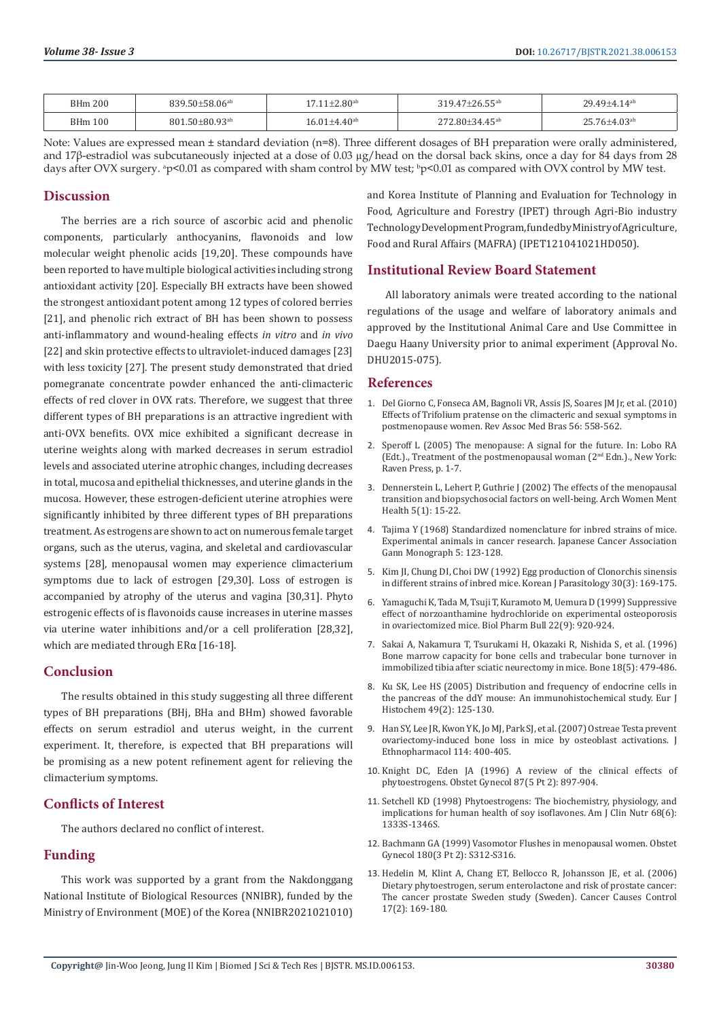| <b>BHm 200</b> | $839.50 \pm 58.06^{ab}$          | $17.11 \pm 2.80$ <sup>ab</sup> | $319.47 \pm 26.55$ <sup>ab</sup> | $29.49 + 4.14$ <sup>ab</sup> |
|----------------|----------------------------------|--------------------------------|----------------------------------|------------------------------|
| <b>BHm 100</b> | $801.50 \pm 80.93$ <sup>ab</sup> | $6.01 + 4.40$ <sup>ab</sup>    | $.80 + 34.45$ <sup>ab</sup>      | $25.76{\pm}4.03^{\text{ab}}$ |

Note: Values are expressed mean ± standard deviation (n=8). Three different dosages of BH preparation were orally administered, and 17β-estradiol was subcutaneously injected at a dose of 0.03 µg/head on the dorsal back skins, once a day for 84 days from 28 days after OVX surgery. <sup>a</sup>p<0.01 as compared with sham control by MW test; <sup>b</sup>p<0.01 as compared with OVX control by MW test.

# **Discussion**

The berries are a rich source of ascorbic acid and phenolic components, particularly anthocyanins, flavonoids and low molecular weight phenolic acids [19,20]. These compounds have been reported to have multiple biological activities including strong antioxidant activity [20]. Especially BH extracts have been showed the strongest antioxidant potent among 12 types of colored berries [21], and phenolic rich extract of BH has been shown to possess anti-inflammatory and wound-healing effects *in vitro* and *in vivo* [22] and skin protective effects to ultraviolet-induced damages [23] with less toxicity [27]. The present study demonstrated that dried pomegranate concentrate powder enhanced the anti-climacteric effects of red clover in OVX rats. Therefore, we suggest that three different types of BH preparations is an attractive ingredient with anti-OVX benefits. OVX mice exhibited a significant decrease in uterine weights along with marked decreases in serum estradiol levels and associated uterine atrophic changes, including decreases in total, mucosa and epithelial thicknesses, and uterine glands in the mucosa. However, these estrogen‑deficient uterine atrophies were significantly inhibited by three different types of BH preparations treatment. As estrogens are shown to act on numerous female target organs, such as the uterus, vagina, and skeletal and cardiovascular systems [28], menopausal women may experience climacterium symptoms due to lack of estrogen [29,30]. Loss of estrogen is accompanied by atrophy of the uterus and vagina [30,31]. Phyto estrogenic effects of is flavonoids cause increases in uterine masses via uterine water inhibitions and/or a cell proliferation [28,32], which are mediated through ERα [16-18].

# **Conclusion**

The results obtained in this study suggesting all three different types of BH preparations (BHj, BHa and BHm) showed favorable effects on serum estradiol and uterus weight, in the current experiment. It, therefore, is expected that BH preparations will be promising as a new potent refinement agent for relieving the climacterium symptoms.

# **Conflicts of Interest**

The authors declared no conflict of interest.

# **Funding**

This work was supported by a grant from the Nakdonggang National Institute of Biological Resources (NNIBR), funded by the Ministry of Environment (MOE) of the Korea (NNIBR2021021010)

and Korea Institute of Planning and Evaluation for Technology in Food, Agriculture and Forestry (IPET) through Agri-Bio industry Technology Development Program, funded by Ministry of Agriculture, Food and Rural Affairs (MAFRA) (IPET121041021HD050).

# **Institutional Review Board Statement**

All laboratory animals were treated according to the national regulations of the usage and welfare of laboratory animals and approved by the Institutional Animal Care and Use Committee in Daegu Haany University prior to animal experiment (Approval No. DHU2015-075).

### **References**

- 1. [Del Giorno C, Fonseca AM, Bagnoli VR, Assis JS, Soares JM Jr, et al. \(2010\)](https://pubmed.ncbi.nlm.nih.gov/21152828/) [Effects of Trifolium pratense on the climacteric and sexual symptoms in](https://pubmed.ncbi.nlm.nih.gov/21152828/) [postmenopause women. Rev Assoc Med Bras 56: 558-562.](https://pubmed.ncbi.nlm.nih.gov/21152828/)
- 2. [Speroff L \(2005\) The menopause: A signal for the future. In: Lobo RA](https://www.elsevier.com/books/treatment-of-the-postmenopausal-woman/lobo/978-0-12-369443-0) [\(Edt.\)., Treatment of the postmenopausal woman \(2nd Edn.\)., New York:](https://www.elsevier.com/books/treatment-of-the-postmenopausal-woman/lobo/978-0-12-369443-0) [Raven Press, p. 1-7.](https://www.elsevier.com/books/treatment-of-the-postmenopausal-woman/lobo/978-0-12-369443-0)
- 3. [Dennerstein L, Lehert P, Guthrie J \(2002\) The effects of the menopausal](https://pubmed.ncbi.nlm.nih.gov/12503070/) [transition and biopsychosocial factors on well-being. Arch Women Ment](https://pubmed.ncbi.nlm.nih.gov/12503070/) [Health 5\(1\): 15-22.](https://pubmed.ncbi.nlm.nih.gov/12503070/)
- 4. Tajima Y (1968) Standardized nomenclature for inbred strains of mice. Experimental animals in cancer research. Japanese Cancer Association Gann Monograph 5: 123-128.
- 5. [Kim JI, Chung DI, Choi DW \(1992\) Egg production of Clonorchis sinensis](https://pubmed.ncbi.nlm.nih.gov/1420029/) [in different strains of inbred mice. Korean J Parasitology 30\(3\): 169-175.](https://pubmed.ncbi.nlm.nih.gov/1420029/)
- 6. [Yamaguchi K, Tada M, Tsuji T, Kuramoto M, Uemura D \(1999\) Suppressive](https://pubmed.ncbi.nlm.nih.gov/10513613/) [effect of norzoanthamine hydrochloride on experimental osteoporosis](https://pubmed.ncbi.nlm.nih.gov/10513613/) [in ovariectomized mice. Biol Pharm Bull 22\(9\): 920-924.](https://pubmed.ncbi.nlm.nih.gov/10513613/)
- 7. [Sakai A, Nakamura T, Tsurukami H, Okazaki R, Nishida S, et al. \(1996\)](https://pubmed.ncbi.nlm.nih.gov/8739907/) [Bone marrow capacity for bone cells and trabecular bone turnover in](https://pubmed.ncbi.nlm.nih.gov/8739907/) [immobilized tibia after sciatic neurectomy in mice. Bone 18\(5\): 479-486.](https://pubmed.ncbi.nlm.nih.gov/8739907/)
- 8. [Ku SK, Lee HS \(2005\) Distribution and frequency of endocrine cells in](https://pubmed.ncbi.nlm.nih.gov/15967740/) [the pancreas of the ddY mouse: An immunohistochemical study. Eur J](https://pubmed.ncbi.nlm.nih.gov/15967740/) [Histochem 49\(2\): 125-130.](https://pubmed.ncbi.nlm.nih.gov/15967740/)
- 9. [Han SY, Lee JR, Kwon YK, Jo MJ, Park SJ, et al. \(2007\) Ostreae Testa prevent](https://pubmed.ncbi.nlm.nih.gov/17905549/) [ovariectomy-induced bone loss in mice by osteoblast activations. J](https://pubmed.ncbi.nlm.nih.gov/17905549/) [Ethnopharmacol 114: 400-405.](https://pubmed.ncbi.nlm.nih.gov/17905549/)
- 10. [Knight DC, Eden JA \(1996\) A review of the clinical effects of](https://pubmed.ncbi.nlm.nih.gov/8677131/) [phytoestrogens. Obstet Gynecol 87\(5 Pt 2\): 897-904.](https://pubmed.ncbi.nlm.nih.gov/8677131/)
- 11. [Setchell KD \(1998\) Phytoestrogens: The biochemistry, physiology, and](https://pubmed.ncbi.nlm.nih.gov/9848496/) [implications for human health of soy isoflavones. Am J Clin Nutr 68\(6\):](https://pubmed.ncbi.nlm.nih.gov/9848496/) [1333S-1346S.](https://pubmed.ncbi.nlm.nih.gov/9848496/)
- 12. [Bachmann GA \(1999\) Vasomotor Flushes in menopausal women. Obstet](https://pubmed.ncbi.nlm.nih.gov/10076170/) [Gynecol 180\(3 Pt 2\): S312-S316.](https://pubmed.ncbi.nlm.nih.gov/10076170/)
- 13. [Hedelin M, Klint A, Chang ET, Bellocco R, Johansson JE, et al. \(2006\)](https://pubmed.ncbi.nlm.nih.gov/16425095/) [Dietary phytoestrogen, serum enterolactone and risk of prostate cancer:](https://pubmed.ncbi.nlm.nih.gov/16425095/) [The cancer prostate Sweden study \(Sweden\). Cancer Causes Control](https://pubmed.ncbi.nlm.nih.gov/16425095/) [17\(2\): 169-180.](https://pubmed.ncbi.nlm.nih.gov/16425095/)